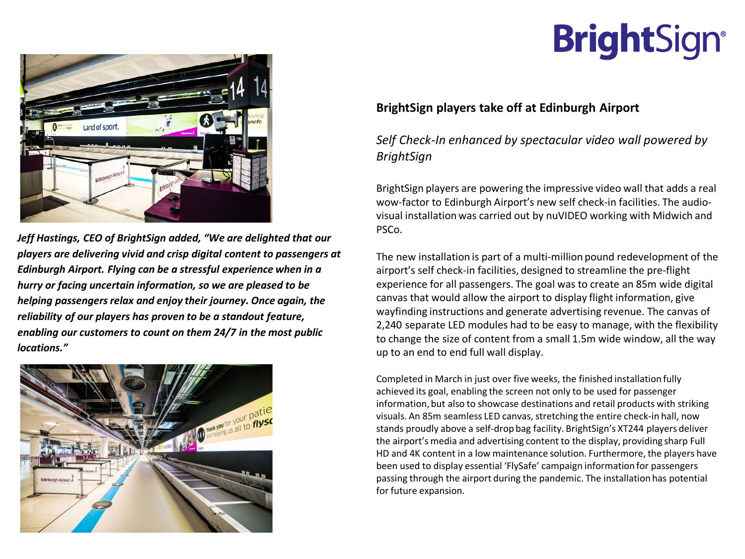## **BrightSign®**



*Jeff Hastings, CEO of BrightSign added, "We are delighted that our players are delivering vivid and crisp digital content to passengers at Edinburgh Airport. Flying can be a stressful experience when in a hurry or facing uncertain information, so we are pleased to be helping passengers relax and enjoy their journey. Once again, the reliability of our players has proven to be a standout feature, enabling our customers to count on them 24/7 in the most public locations."*



## **BrightSign players take off at Edinburgh Airport**

*Self Check-In enhanced by spectacular video wall powered by BrightSign*

BrightSign players are powering the impressive video wall that adds a real wow-factor to Edinburgh Airport's new self check-in facilities. The audiovisual installation was carried out by nuVIDEO working with Midwich and PSCo.

The new installation is part of a multi-million pound redevelopment of the airport's self check-in facilities, designed to streamline the pre-flight experience for all passengers. The goal was to create an 85m wide digital canvas that would allow the airport to display flight information, give wayfinding instructions and generate advertising revenue. The canvas of 2,240 separate LED modules had to be easy to manage, with the flexibility to change the size of content from a small 1.5m wide window, all the way up to an end to end full wall display.

Completed in March in just over five weeks, the finished installation fully achieved its goal, enabling the screen not only to be used for passenger information, but also to showcase destinations and retail products with striking visuals. An 85m seamless LED canvas, stretching the entire check-in hall, now stands proudly above a self-drop bag facility. BrightSign's XT244 players deliver the airport's media and advertising content to the display, providing sharp Full HD and 4K content in a low maintenance solution. Furthermore, the players have been used to display essential 'FlySafe' campaign information for passengers passing through the airport during the pandemic. The installation has potential for future expansion.